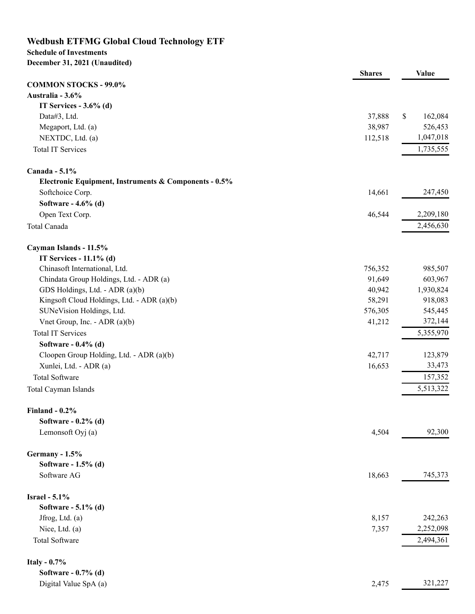## **Wedbush ETFMG Global Cloud Technology ETF**

#### **Schedule of Investments December 31, 2021 (Unaudited)**

## **Shares Value COMMON STOCKS - 99.0% Australia - 3.6% IT Services - 3.6% (d)** Data#3, Ltd. 37,888 \$ 162,084 Megaport, Ltd. (a) 38,987 526,453 NEXTDC, Ltd. (a) 112,518 1,047,018 Total IT Services 1,735,555 **Canada - 5.1% Electronic Equipment, Instruments & Components - 0.5%** Softchoice Corp. 247,450 247,450 **Software - 4.6% (d)** Open Text Corp. 2,209,180 Total Canada 2,456,630 **Cayman Islands - 11.5% IT Services - 11.1% (d)** Chinasoft International, Ltd. 756,352 985,507 Chindata Group Holdings, Ltd. - ADR (a) 91,649 603,967 GDS Holdings, Ltd. - ADR (a)(b) 40,942 1,930,824 Kingsoft Cloud Holdings, Ltd. - ADR (a)(b) 58,291 918,083 SUNeVision Holdings, Ltd. 545,445 Vnet Group, Inc. - ADR (a)(b) 41,212 372,144 Total IT Services 5,355,970 **Software - 0.4% (d)** Cloopen Group Holding, Ltd. - ADR (a)(b)  $42,717$  123,879 Xunlei, Ltd. - ADR (a) 16,653 33,473 Total Software 157,352 Total Cayman Islands 5,513,322 **Finland - 0.2% Software - 0.2% (d)** Lemonsoft Oyj (a)  $4,504$  92,300 **Germany - 1.5% Software - 1.5% (d)** Software AG 18,663 745,373 **Israel - 5.1% Software - 5.1% (d)** Jfrog, Ltd. (a) 8,157 242,263 Nice, Ltd. (a) 2,252,098 Total Software 2,494,361 **Italy - 0.7% Software - 0.7% (d)** Digital Value SpA (a) 2,475 321,227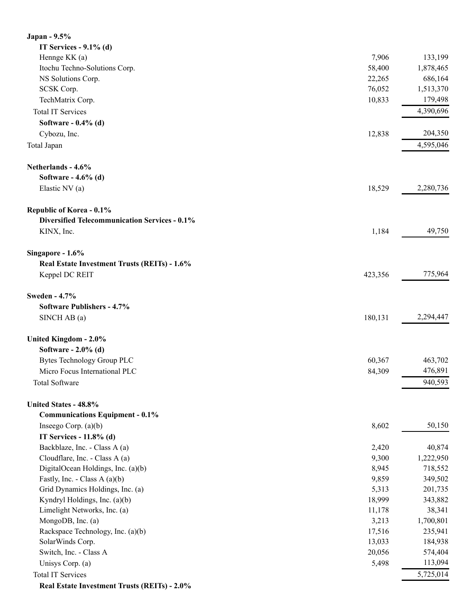| Japan - 9.5%                                         |         |           |
|------------------------------------------------------|---------|-----------|
| IT Services - $9.1\%$ (d)                            |         |           |
| Hennge KK (a)                                        | 7,906   | 133,199   |
| Itochu Techno-Solutions Corp.                        | 58,400  | 1,878,465 |
| NS Solutions Corp.                                   | 22,265  | 686,164   |
| SCSK Corp.                                           | 76,052  | 1,513,370 |
| TechMatrix Corp.                                     | 10,833  | 179,498   |
| <b>Total IT Services</b>                             |         | 4,390,696 |
| Software - $0.4\%$ (d)                               |         |           |
| Cybozu, Inc.                                         | 12,838  | 204,350   |
| Total Japan                                          |         | 4,595,046 |
| Netherlands - 4.6%                                   |         |           |
| Software - 4.6% (d)                                  |         |           |
| Elastic NV (a)                                       | 18,529  | 2,280,736 |
| Republic of Korea - 0.1%                             |         |           |
| <b>Diversified Telecommunication Services - 0.1%</b> |         |           |
| KINX, Inc.                                           | 1,184   | 49,750    |
| Singapore - 1.6%                                     |         |           |
| Real Estate Investment Trusts (REITs) - 1.6%         |         |           |
| Keppel DC REIT                                       | 423,356 | 775,964   |
| <b>Sweden - 4.7%</b>                                 |         |           |
| Software Publishers - 4.7%                           |         |           |
| SINCH AB (a)                                         | 180,131 | 2,294,447 |
| United Kingdom - 2.0%                                |         |           |
| Software - 2.0% (d)                                  |         |           |
| Bytes Technology Group PLC                           | 60,367  | 463,702   |
| Micro Focus International PLC                        | 84,309  | 476,891   |
| <b>Total Software</b>                                |         | 940,593   |
| United States - 48.8%                                |         |           |
| <b>Communications Equipment - 0.1%</b>               |         |           |
| Inseego Corp. $(a)(b)$                               | 8,602   | 50,150    |
| IT Services - 11.8% (d)                              |         |           |
| Backblaze, Inc. - Class A (a)                        | 2,420   | 40,874    |
| Cloudflare, Inc. - Class A (a)                       | 9,300   | 1,222,950 |
| DigitalOcean Holdings, Inc. (a)(b)                   | 8,945   | 718,552   |
| Fastly, Inc. - Class A $(a)(b)$                      | 9,859   | 349,502   |
| Grid Dynamics Holdings, Inc. (a)                     | 5,313   | 201,735   |
| Kyndryl Holdings, Inc. (a)(b)                        | 18,999  | 343,882   |
| Limelight Networks, Inc. (a)                         | 11,178  | 38,341    |
| MongoDB, Inc. (a)                                    | 3,213   | 1,700,801 |
| Rackspace Technology, Inc. (a)(b)                    | 17,516  | 235,941   |
| SolarWinds Corp.                                     | 13,033  | 184,938   |
| Switch, Inc. - Class A                               | 20,056  | 574,404   |
| Unisys Corp. (a)                                     | 5,498   | 113,094   |
| <b>Total IT Services</b>                             |         | 5,725,014 |
| Real Estate Investment Trusts (REITs) - 2.0%         |         |           |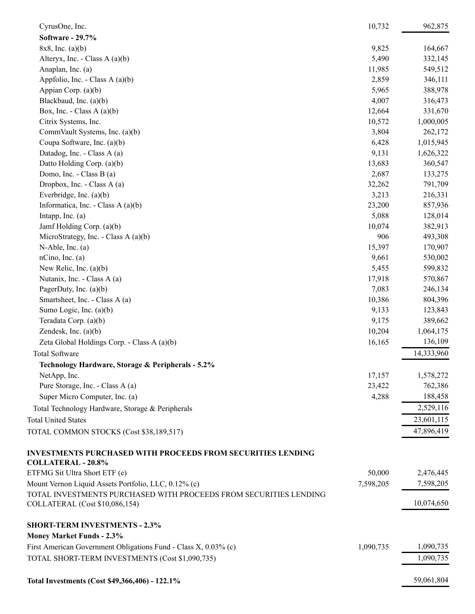| CyrusOne, Inc.                                                                                  | 10,732    | 962,875    |
|-------------------------------------------------------------------------------------------------|-----------|------------|
| Software - 29.7%                                                                                |           |            |
| $8x8$ , Inc. (a)(b)                                                                             | 9,825     | 164,667    |
| Alteryx, Inc. - Class A $(a)(b)$                                                                | 5,490     | 332,145    |
| Anaplan, Inc. (a)                                                                               | 11,985    | 549,512    |
| Appfolio, Inc. - Class A (a)(b)                                                                 | 2,859     | 346,111    |
| Appian Corp. (a)(b)                                                                             | 5,965     | 388,978    |
| Blackbaud, Inc. (a)(b)                                                                          | 4,007     | 316,473    |
| Box, Inc. - Class A $(a)(b)$                                                                    | 12,664    | 331,670    |
| Citrix Systems, Inc.                                                                            | 10,572    | 1,000,005  |
| CommVault Systems, Inc. (a)(b)                                                                  | 3,804     | 262,172    |
| Coupa Software, Inc. (a)(b)                                                                     | 6,428     | 1,015,945  |
| Datadog, Inc. - Class A (a)                                                                     | 9,131     | 1,626,322  |
| Datto Holding Corp. (a)(b)                                                                      | 13,683    | 360,547    |
| Domo, Inc. - Class B (a)                                                                        | 2,687     | 133,275    |
| Dropbox, Inc. - Class A (a)                                                                     | 32,262    | 791,709    |
| Everbridge, Inc. (a)(b)                                                                         | 3,213     | 216,331    |
| Informatica, Inc. - Class A (a)(b)                                                              | 23,200    | 857,936    |
| Intapp, Inc. $(a)$                                                                              | 5,088     | 128,014    |
| Jamf Holding Corp. (a)(b)                                                                       | 10,074    | 382,913    |
| MicroStrategy, Inc. - Class A (a)(b)                                                            | 906       | 493,308    |
| $N$ -Able, Inc. (a)                                                                             | 15,397    | 170,907    |
| nCino, Inc. (a)                                                                                 | 9,661     | 530,002    |
| New Relic, Inc. $(a)(b)$                                                                        | 5,455     | 599,832    |
| Nutanix, Inc. - Class A (a)                                                                     | 17,918    | 570,867    |
| PagerDuty, Inc. $(a)(b)$                                                                        | 7,083     | 246,134    |
| Smartsheet, Inc. - Class A (a)                                                                  | 10,386    | 804,396    |
| Sumo Logic, Inc. (a)(b)                                                                         | 9,133     | 123,843    |
| Teradata Corp. (a)(b)                                                                           | 9,175     | 389,662    |
| Zendesk, Inc. (a)(b)                                                                            | 10,204    | 1,064,175  |
| Zeta Global Holdings Corp. - Class A (a)(b)                                                     | 16,165    | 136,109    |
| <b>Total Software</b>                                                                           |           | 14,333,960 |
| Technology Hardware, Storage & Peripherals - 5.2%                                               |           |            |
| NetApp, Inc.                                                                                    | 17,157    | 1,578,272  |
| Pure Storage, Inc. - Class A (a)                                                                | 23,422    | 762,386    |
| Super Micro Computer, Inc. (a)                                                                  | 4,288     | 188,458    |
| Total Technology Hardware, Storage & Peripherals                                                |           | 2,529,116  |
|                                                                                                 |           |            |
| <b>Total United States</b>                                                                      |           | 23,601,115 |
| TOTAL COMMON STOCKS (Cost \$38,189,517)                                                         |           | 47,896,419 |
| <b>INVESTMENTS PURCHASED WITH PROCEEDS FROM SECURITIES LENDING</b><br><b>COLLATERAL - 20.8%</b> |           |            |
| ETFMG Sit Ultra Short ETF (e)                                                                   | 50,000    | 2,476,445  |
| Mount Vernon Liquid Assets Portfolio, LLC, 0.12% (c)                                            | 7,598,205 | 7,598,205  |
| TOTAL INVESTMENTS PURCHASED WITH PROCEEDS FROM SECURITIES LENDING                               |           |            |
| COLLATERAL (Cost \$10,086,154)                                                                  |           | 10,074,650 |
| <b>SHORT-TERM INVESTMENTS - 2.3%</b>                                                            |           |            |
| <b>Money Market Funds - 2.3%</b>                                                                |           |            |
| First American Government Obligations Fund - Class X, 0.03% (c)                                 | 1,090,735 | 1,090,735  |
| TOTAL SHORT-TERM INVESTMENTS (Cost \$1,090,735)                                                 |           | 1,090,735  |
| Total Investments (Cost \$49,366,406) - 122.1%                                                  |           | 59,061,804 |
|                                                                                                 |           |            |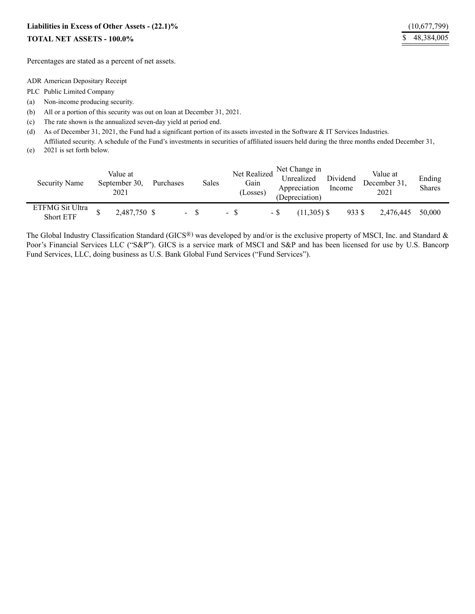# **Liabilities in Excess of Other Assets - (22.1)%** (10,677,799)

### **TOTAL NET ASSETS - 100.0%** \$ 48,384,005

Percentages are stated as a percent of net assets.

ADR American Depositary Receipt

- PLC Public Limited Company
- (a) Non-income producing security.
- (b) All or a portion of this security was out on loan at December 31, 2021.
- (c) The rate shown is the annualized seven-day yield at period end.
- (d) As of December 31, 2021, the Fund had a significant portion of its assets invested in the Software & IT Services Industries.

(e) Affiliated security. A schedule of the Fund's investments in securities of affiliated issuers held during the three months ended December 31, 2021 is set forth below.

| Security Name                       | Value at<br>September 30.<br>2021 | Purchases | Sales | Net Realized <sup>"</sup><br>Gain<br>(Losses) |      | Net Change in<br>Unrealized<br>Appreciation<br>(Depreciation) | Dividend<br>Income | Value at<br>December 31,<br>2021 | Ending<br><b>Shares</b> |
|-------------------------------------|-----------------------------------|-----------|-------|-----------------------------------------------|------|---------------------------------------------------------------|--------------------|----------------------------------|-------------------------|
| ETFMG Sit Ultra<br><b>Short ETF</b> | 2,487,750 \$                      |           |       | - 8                                           | - \$ | $(11.305)$ \$                                                 | 933 S              | 2.476.445                        | 50,000                  |

The Global Industry Classification Standard (GICS®) was developed by and/or is the exclusive property of MSCI, Inc. and Standard & Poor's Financial Services LLC ("S&P"). GICS is a service mark of MSCI and S&P and has been licensed for use by U.S. Bancorp Fund Services, LLC, doing business as U.S. Bank Global Fund Services ("Fund Services").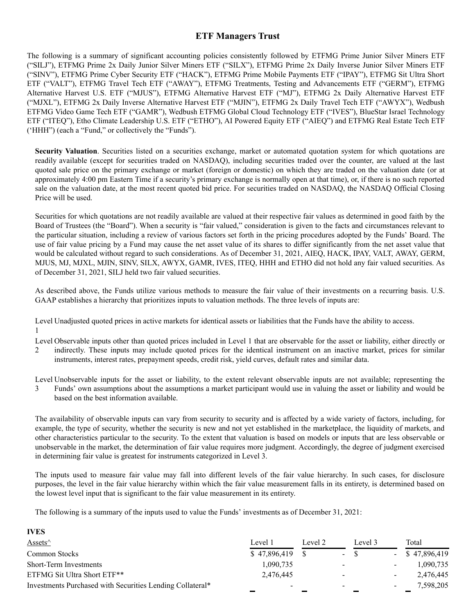### **ETF Managers Trust**

The following is a summary of significant accounting policies consistently followed by ETFMG Prime Junior Silver Miners ETF ("SILJ"), ETFMG Prime 2x Daily Junior Silver Miners ETF ("SILX"), ETFMG Prime 2x Daily Inverse Junior Silver Miners ETF ("SINV"), ETFMG Prime Cyber Security ETF ("HACK"), ETFMG Prime Mobile Payments ETF ("IPAY"), ETFMG Sit Ultra Short ETF ("VALT"), ETFMG Travel Tech ETF ("AWAY"), ETFMG Treatments, Testing and Advancements ETF ("GERM"), ETFMG Alternative Harvest U.S. ETF ("MJUS"), ETFMG Alternative Harvest ETF ("MJ"), ETFMG 2x Daily Alternative Harvest ETF ("MJXL"), ETFMG 2x Daily Inverse Alternative Harvest ETF ("MJIN"), ETFMG 2x Daily Travel Tech ETF ("AWYX"), Wedbush ETFMG Video Game Tech ETF ("GAMR"), Wedbush ETFMG Global Cloud Technology ETF ("IVES"), BlueStar Israel Technology ETF ("ITEQ"), Etho Climate Leadership U.S. ETF ("ETHO"), AI Powered Equity ETF ("AIEQ") and ETFMG Real Estate Tech ETF ('HHH") (each a "Fund," or collectively the "Funds").

**Security Valuation**. Securities listed on a securities exchange, market or automated quotation system for which quotations are readily available (except for securities traded on NASDAQ), including securities traded over the counter, are valued at the last quoted sale price on the primary exchange or market (foreign or domestic) on which they are traded on the valuation date (or at approximately 4:00 pm Eastern Time if a security's primary exchange is normally open at that time), or, if there is no such reported sale on the valuation date, at the most recent quoted bid price. For securities traded on NASDAQ, the NASDAQ Official Closing Price will be used.

Securities for which quotations are not readily available are valued at their respective fair values as determined in good faith by the Board of Trustees (the "Board"). When a security is "fair valued," consideration is given to the facts and circumstances relevant to the particular situation, including a review of various factors set forth in the pricing procedures adopted by the Funds' Board. The use of fair value pricing by a Fund may cause the net asset value of its shares to differ significantly from the net asset value that would be calculated without regard to such considerations. As of December 31, 2021, AIEQ, HACK, IPAY, VALT, AWAY, GERM, MJUS, MJ, MJXL, MJIN, SINV, SILX, AWYX, GAMR, IVES, ITEQ, HHH and ETHO did not hold any fair valued securities. As of December 31, 2021, SILJ held two fair valued securities.

As described above, the Funds utilize various methods to measure the fair value of their investments on a recurring basis. U.S. GAAP establishes a hierarchy that prioritizes inputs to valuation methods. The three levels of inputs are:

Level Unadjusted quoted prices in active markets for identical assets or liabilities that the Funds have the ability to access. 1

Level Observable inputs other than quoted prices included in Level 1 that are observable for the asset or liability, either directly or

2 indirectly. These inputs may include quoted prices for the identical instrument on an inactive market, prices for similar instruments, interest rates, prepayment speeds, credit risk, yield curves, default rates and similar data.

Level Unobservable inputs for the asset or liability, to the extent relevant observable inputs are not available; representing the

3 Funds' own assumptions about the assumptions a market participant would use in valuing the asset or liability and would be based on the best information available.

The availability of observable inputs can vary from security to security and is affected by a wide variety of factors, including, for example, the type of security, whether the security is new and not yet established in the marketplace, the liquidity of markets, and other characteristics particular to the security. To the extent that valuation is based on models or inputs that are less observable or unobservable in the market, the determination of fair value requires more judgment. Accordingly, the degree of judgment exercised in determining fair value is greatest for instruments categorized in Level 3.

The inputs used to measure fair value may fall into different levels of the fair value hierarchy. In such cases, for disclosure purposes, the level in the fair value hierarchy within which the fair value measurement falls in its entirety, is determined based on the lowest level input that is significant to the fair value measurement in its entirety.

The following is a summary of the inputs used to value the Funds' investments as of December 31, 2021:

**IVES**

| <b>IVED</b>                                               |              |         |                          |  |                   |  |  |  |  |
|-----------------------------------------------------------|--------------|---------|--------------------------|--|-------------------|--|--|--|--|
| Assets $\wedge$                                           | Level 1      | Level 2 | Level 3                  |  | Total             |  |  |  |  |
| Common Stocks                                             | \$47,896,419 |         | $\sim$                   |  | $-$ \$ 47,896,419 |  |  |  |  |
| <b>Short-Term Investments</b>                             | 1,090,735    |         | $\overline{\phantom{a}}$ |  | 1,090,735         |  |  |  |  |
| ETFMG Sit Ultra Short ETF**                               | 2,476,445    |         |                          |  | 2,476,445         |  |  |  |  |
| Investments Purchased with Securities Lending Collateral* | $\,$         |         | $\qquad \qquad$          |  | 7,598,205         |  |  |  |  |